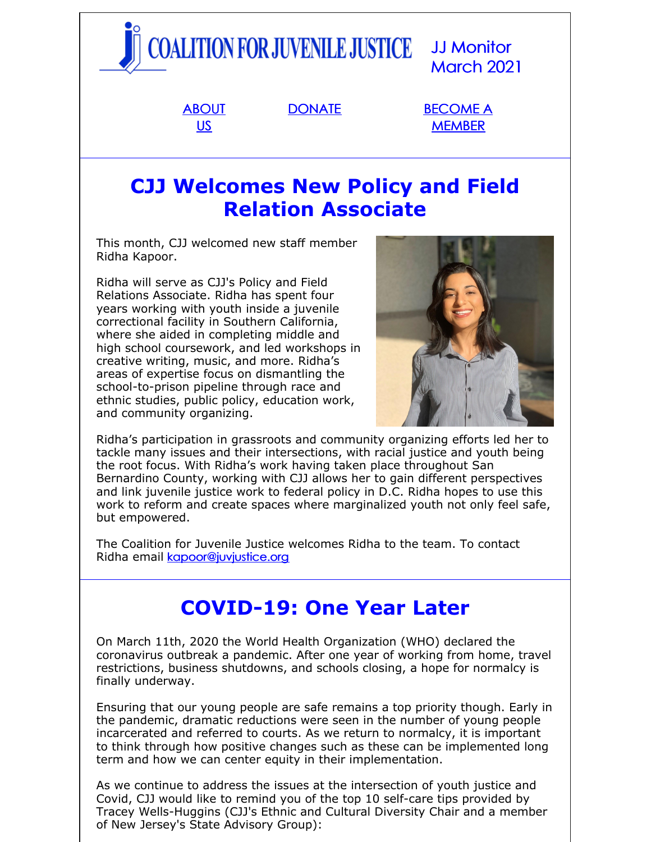

## **CJJ Welcomes New Policy and Field Relation Associate**

This month, CJJ welcomed new staff member Ridha Kapoor.

Ridha will serve as CJJ's Policy and Field Relations Associate. Ridha has spent four years working with youth inside a juvenile correctional facility in Southern California, where she aided in completing middle and high school coursework, and led workshops in creative writing, music, and more. Ridha's areas of expertise focus on dismantling the school-to-prison pipeline through race and ethnic studies, public policy, education work, and community organizing.



Ridha's participation in grassroots and community organizing efforts led her to tackle many issues and their intersections, with racial justice and youth being the root focus. With Ridha's work having taken place throughout San Bernardino County, working with CJJ allows her to gain different perspectives and link juvenile justice work to federal policy in D.C. Ridha hopes to use this work to reform and create spaces where marginalized youth not only feel safe, but empowered.

The Coalition for Juvenile Justice welcomes Ridha to the team. To contact Ridha email [kapoor@juvjustice.org](mailto:kapoor@juvjustice.org)

# **COVID-19: One Year Later**

On March 11th, 2020 the World Health Organization (WHO) declared the coronavirus outbreak a pandemic. After one year of working from home, travel restrictions, business shutdowns, and schools closing, a hope for normalcy is finally underway.

Ensuring that our young people are safe remains a top priority though. Early in the pandemic, dramatic reductions were seen in the number of young people incarcerated and referred to courts. As we return to normalcy, it is important to think through how positive changes such as these can be implemented long term and how we can center equity in their implementation.

As we continue to address the issues at the intersection of youth justice and Covid, CJJ would like to remind you of the top 10 self-care tips provided by Tracey Wells-Huggins (CJJ's Ethnic and Cultural Diversity Chair and a member of New Jersey's State Advisory Group):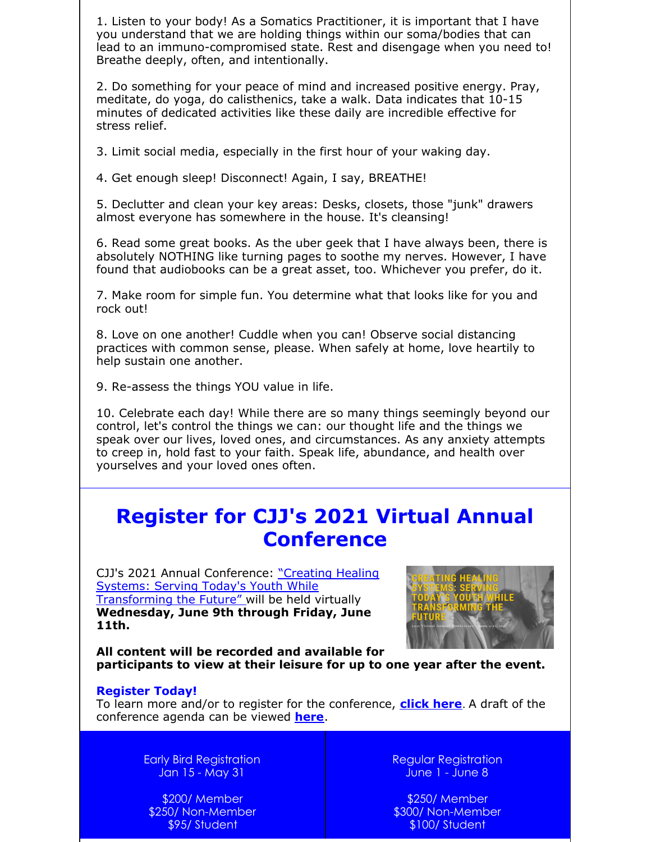1. Listen to your body! As a Somatics Practitioner, it is important that I have you understand that we are holding things within our soma/bodies that can lead to an immuno-compromised state. Rest and disengage when you need to! Breathe deeply, often, and intentionally.

2. Do something for your peace of mind and increased positive energy. Pray, meditate, do yoga, do calisthenics, take a walk. Data indicates that 10-15 minutes of dedicated activities like these daily are incredible effective for stress relief.

3. Limit social media, especially in the first hour of your waking day.

4. Get enough sleep! Disconnect! Again, I say, BREATHE!

5. Declutter and clean your key areas: Desks, closets, those "junk" drawers almost everyone has somewhere in the house. It's cleansing!

6. Read some great books. As the uber geek that I have always been, there is absolutely NOTHING like turning pages to soothe my nerves. However, I have found that audiobooks can be a great asset, too. Whichever you prefer, do it.

7. Make room for simple fun. You determine what that looks like for you and rock out!

8. Love on one another! Cuddle when you can! Observe social distancing practices with common sense, please. When safely at home, love heartily to help sustain one another.

9. Re-assess the things YOU value in life.

10. Celebrate each day! While there are so many things seemingly beyond our control, let's control the things we can: our thought life and the things we speak over our lives, loved ones, and circumstances. As any anxiety attempts to creep in, hold fast to your faith. Speak life, abundance, and health over yourselves and your loved ones often.

## **Register for CJJ's 2021 Virtual Annual Conference**

CJJ's 2021 Annual Conference: "Creating Healing Systems: Serving Today's Youth While [Transforming](http://juvjustice.org/events/conferences/2021-cjj-annual-conference) the Future" will be held virtually **Wednesday, June 9th through Friday, June 11th.**



**All content will be recorded and available for participants to view at their leisure for up to one year after the event.**

#### **Register Today!**

To learn more and/or to register for the conference, **[click](https://www.juvjustice.org/civicrm/event/register?cid=0&reset=1&id=69) here**. A draft of the conference agenda can be viewed **[here](http://www.juvjustice.org/sites/default/files/resource-files/2021 2.19.pdf)**.

> Early Bird Registration Jan 15 - May 31

\$200/ Member \$250/ Non-Member \$95/ Student

Regular Registration June 1 - June 8

\$250/ Member \$300/ Non-Member \$100/ Student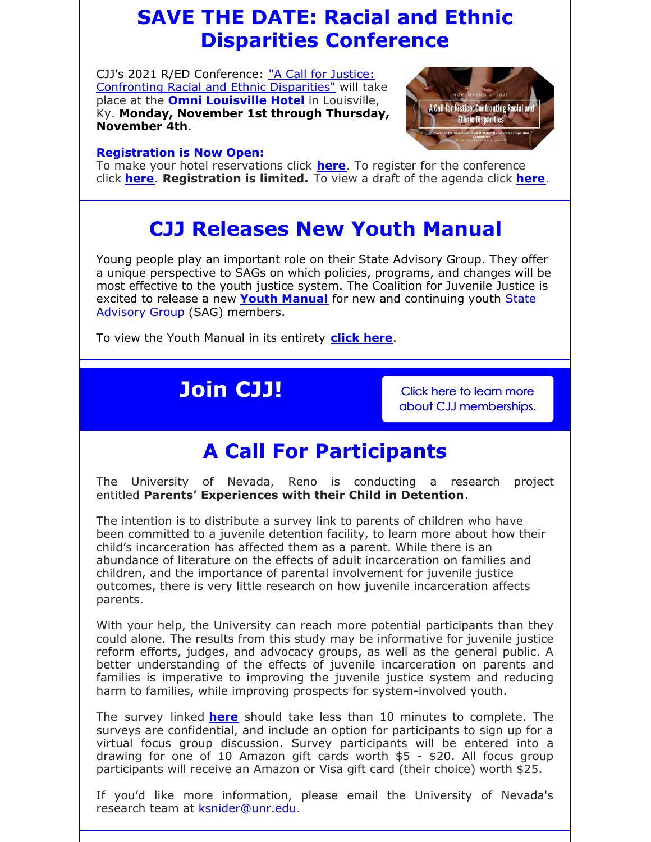# **SAVE THE DATE: Racial and Ethnic Disparities Conference**

CJJ's 2021 R/ED [Conference:](http://juvjustice.org/2021-racial-and-ethnic-disparities-conference) "A Call for Justice: Confronting Racial and Ethnic Disparities" will take place at the **Omni [Louisville](https://www.omnihotels.com/hotels/louisville) Hotel** in Louisville, Ky. **Monday, November 1st through Thursday, November 4th**.

### **Registration is Now Open:**



To make your hotel reservations click **[here](https://www.omnihotels.com/hotels/louisville/meetings/cjj-r-ed-conference-10302021)**. To register for the conference click **[here](http://www.juvjustice.org/civicrm/event/register?cid=0&reset=1&id=70)**. **Registration is limited.** To view a draft of the agenda click **[here](http://www.juvjustice.org/sites/default/files/resource-files/Conference Draft Agenda 3.17.pdf)**.

## **CJJ Releases New Youth Manual**

Young people play an important role on their State Advisory Group. They offer a unique perspective to SAGs on which policies, programs, and changes will be most effective to the youth justice system. The Coalition for Juvenile Justice is excited to release a new **Youth [Manual](http://www.juvjustice.org/sites/default/files/resource-files/Youth Manual-2-compressed.pdf)** for new and [continuing](http://juvjustice.org/our-work/member-engagement) youth State Advisory Group (SAG) members.

To view the Youth Manual in its entirety **[click](http://www.juvjustice.org/sites/default/files/resource-files/Youth Manual-2-compressed.pdf) here**.

# **Join CJJ!** Click here to learn more

about CJJ [memberships.](http://juvjustice.org/about-us/members)

# **A Call For Participants**

The University of Nevada, Reno is conducting a research project entitled **Parents' Experiences with their Child in Detention**.

The intention is to distribute a survey link to parents of children who have been committed to a juvenile detention facility, to learn more about how their child's incarceration has affected them as a parent. While there is an abundance of literature on the effects of adult incarceration on families and children, and the importance of parental involvement for juvenile justice outcomes, there is very little research on how juvenile incarceration affects parents.

With your help, the University can reach more potential participants than they could alone. The results from this study may be informative for juvenile justice reform efforts, judges, and advocacy groups, as well as the general public. A better understanding of the effects of juvenile incarceration on parents and families is imperative to improving the juvenile justice system and reducing harm to families, while improving prospects for system-involved youth.

The survey linked **[here](https://tinyurl.com/JJParent)** should take less than 10 minutes to complete. The surveys are confidential, and include an option for participants to sign up for a virtual focus group discussion. Survey participants will be entered into a drawing for one of 10 Amazon gift cards worth \$5 - \$20. All focus group participants will receive an Amazon or Visa gift card (their choice) worth \$25.

If you'd like more information, please email the University of Nevada's research team at [ksnider@unr.edu](mailto:ksnider@unr.edu).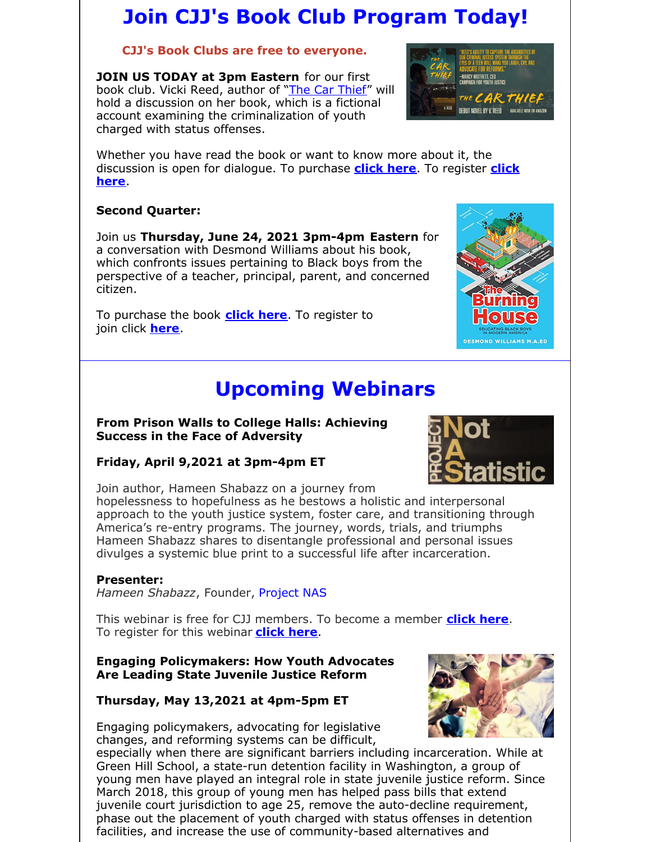# **Join CJJ's Book Club Program Today!**

### **CJJ's Book Clubs are free to everyone.**

**JOIN US TODAY at 3pm Eastern** for our first book club. Vicki Reed, author of "The Car [Thief"](https://www.google.com/books/edition/The_Car_Thief/lZqYDQAAQBAJ?hl=en&gbpv=1&printsec=frontcover) will hold a discussion on her book, which is a fictional account examining the criminalization of youth charged with status offenses.

Whether you have read the book or want to know more about it, the [discussion](https://register.gotowebinar.com/register/4036645147941516299) is open for dialogue. To purchase **[click](https://www.amazon.com/Car-Thief-V-Reed/dp/B087HDKML4/ref=sr_1_1?crid=34TVOFM74Y7PN&dchild=1&keywords=car+thief+vicki+reed&qid=1615416570&s=books&sprefix=the+car+thief+by+vicki+%2Cstripbooks%2C149&sr=1-1) here**. To register **click here**.

### **Second Quarter:**

Join us **Thursday, June 24, 2021 3pm-4pm Eastern** for a conversation with Desmond Williams about his book, which confronts issues pertaining to Black boys from the perspective of a teacher, principal, parent, and concerned citizen.

To purchase the book **[click](https://www.nylinka.org/products) here**. To register to join click **[here](https://attendee.gotowebinar.com/register/6666698953055068427)**.

# **Upcoming Webinars**

### **From Prison Walls to College Halls: Achieving Success in the Face of Adversity**

## **Friday, April 9,2021 at 3pm-4pm ET**

Join author, Hameen Shabazz on a journey from hopelessness to hopefulness as he bestows a holistic and interpersonal approach to the youth justice system, foster care, and transitioning through America's re-entry programs. The journey, words, trials, and triumphs Hameen Shabazz shares to disentangle professional and personal issues divulges a systemic blue print to a successful life after incarceration.

### **Presenter:**

*Hameen Shabazz*, Founder, [Project](https://dare2live.life/) NAS

This webinar is free for CJJ members. To become a member **[click](http://www.juvjustice.org/civicrm/contribute/transact?reset=1&id=2) here**. To register for this webinar **[click](https://attendee.gotowebinar.com/register/6171551482231338511) here**.

### **Engaging Policymakers: How Youth Advocates Are Leading State Juvenile Justice Reform**

## **Thursday, May 13,2021 at 4pm-5pm ET**

Engaging policymakers, advocating for legislative changes, and reforming systems can be difficult,

especially when there are significant barriers including incarceration. While at Green Hill School, a state-run detention facility in Washington, a group of young men have played an integral role in state juvenile justice reform. Since March 2018, this group of young men has helped pass bills that extend juvenile court jurisdiction to age 25, remove the auto-decline requirement, phase out the placement of youth charged with status offenses in detention facilities, and increase the use of community-based alternatives and







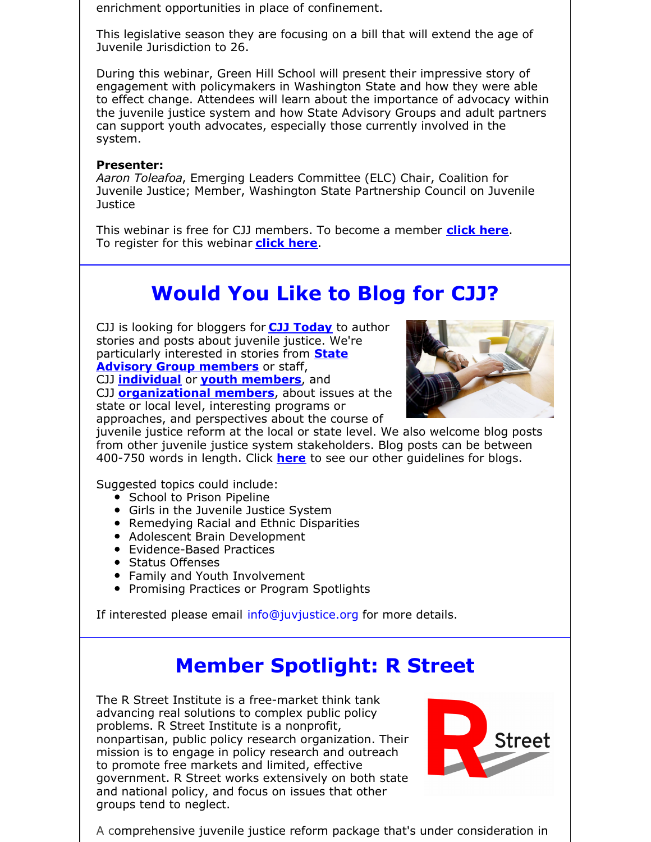enrichment opportunities in place of confinement.

This legislative season they are focusing on a bill that will extend the age of Juvenile Jurisdiction to 26.

During this webinar, Green Hill School will present their impressive story of engagement with policymakers in Washington State and how they were able to effect change. Attendees will learn about the importance of advocacy within the juvenile justice system and how State Advisory Groups and adult partners can support youth advocates, especially those currently involved in the system.

#### **Presenter:**

*Aaron Toleafoa*, Emerging Leaders Committee (ELC) Chair, Coalition for Juvenile Justice; Member, Washington State Partnership Council on Juvenile **Justice** 

This webinar is free for CJJ members. To become a member **[click](http://www.juvjustice.org/civicrm/contribute/transact?reset=1&id=2) here**. To register for this webinar **[click](https://attendee.gotowebinar.com/register/9201007284379353360) here**.

# **Would You Like to Blog for CJJ?**

CJJ is looking for bloggers for **CJJ [Today](http://www.juvjustice.org/blog)** to author stories and posts about juvenile justice. We're [particularly](http://www.juvjustice.org/about-us/state-advisory-group-members) interested in stories from **State Advisory Group members** or staff, CJJ **[individual](http://juvjustice.org/about-us/members/individual-memberships)** or **youth [members](http://juvjustice.org/youth-members)**, and

CJJ **[organizational](http://www.juvjustice.org/about-us/members/organizational-memberships) members**, about issues at the state or local level, interesting programs or approaches, and perspectives about the course of



juvenile justice reform at the local or state level. We also welcome blog posts from other juvenile justice system stakeholders. Blog posts can be between 400-750 words in length. Click **[here](http://files.constantcontact.com/31e4a892301/ae2fa24f-a0c7-4002-a04b-2d9a65ad104a.pdf)** to see our other guidelines for blogs.

Suggested topics could include:

- School to Prison Pipeline
- Girls in the Juvenile Justice System
- Remedying Racial and Ethnic Disparities
- Adolescent Brain Development
- Evidence-Based Practices
- Status Offenses
- Family and Youth Involvement
- Promising Practices or Program Spotlights

If interested please email [info@juvjustice.org](mailto:info@juvjustice.org) for more details.

## **Member Spotlight: R Street**

The R Street Institute is a free-market think tank advancing real solutions to complex public policy problems. R Street Institute is a nonprofit, nonpartisan, public policy research organization. Their mission is to engage in policy research and outreach to promote free markets and limited, effective government. R Street works extensively on both state and national policy, and focus on issues that other groups tend to neglect.



A comprehensive juvenile justice reform package that's under consideration in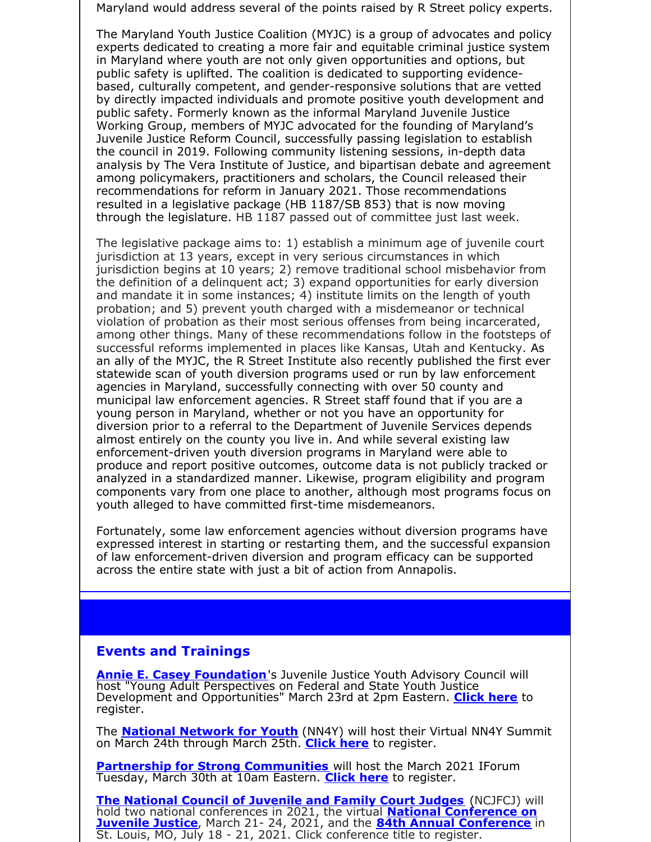Maryland would address several of the points raised by R Street policy experts.

The Maryland Youth Justice Coalition (MYJC) is a group of advocates and policy experts dedicated to creating a more fair and equitable criminal justice system in Maryland where youth are not only given opportunities and options, but public safety is uplifted. The coalition is dedicated to supporting evidencebased, culturally competent, and gender-responsive solutions that are vetted by directly impacted individuals and promote positive youth development and public safety. Formerly known as the informal Maryland Juvenile Justice Working Group, members of MYJC advocated for the founding of Maryland's Juvenile Justice Reform Council, successfully passing legislation to establish the council in 2019. Following community listening sessions, in-depth data analysis by The Vera Institute of Justice, and bipartisan debate and agreement among policymakers, practitioners and scholars, the Council released their recommendations for reform in January 2021. Those recommendations resulted in a legislative package (HB 1187/SB 853) that is now moving through the legislature. HB 1187 passed out of committee just last week.

The legislative package aims to: 1) establish a minimum age of juvenile court jurisdiction at 13 years, except in very serious circumstances in which jurisdiction begins at 10 years; 2) remove traditional school misbehavior from the definition of a delinquent act; 3) expand opportunities for early diversion and mandate it in some instances; 4) institute limits on the length of youth probation; and 5) prevent youth charged with a misdemeanor or technical violation of probation as their most serious offenses from being incarcerated, among other things. Many of these recommendations follow in the footsteps of successful reforms implemented in places like Kansas, Utah and Kentucky. As an ally of the MYJC, the R Street Institute also recently published the first ever statewide scan of youth diversion programs used or run by law enforcement agencies in Maryland, successfully connecting with over 50 county and municipal law enforcement agencies. R Street staff found that if you are a young person in Maryland, whether or not you have an opportunity for diversion prior to a referral to the Department of Juvenile Services depends almost entirely on the county you live in. And while several existing law enforcement-driven youth diversion programs in Maryland were able to produce and report positive outcomes, outcome data is not publicly tracked or analyzed in a standardized manner. Likewise, program eligibility and program components vary from one place to another, although most programs focus on youth alleged to have committed first-time misdemeanors.

Fortunately, some law enforcement agencies without diversion programs have expressed interest in starting or restarting them, and the successful expansion of law enforcement-driven diversion and program efficacy can be supported across the entire state with just a bit of action from Annapolis.

#### **Events and Trainings**

**Annie E. Casey [Foundation](https://www.aecf.org/)**'s Juvenile Justice Youth Advisory Council will host "Young Adult Perspectives on Federal and State Youth Justice Development and Opportunities" March 23rd at 2pm Eastern. **[Click](https://pretrial.zoom.us/webinar/register/7716147130813/WN_rb5-lck7TRmg0Ib25MZpBg) here** to register.

The **National [Network](https://nn4youth.org/events/2021-summit/) for Youth** (NN4Y) will host their Virtual NN4Y Summit on March 24th through March 25th. **[Click](https://www.eventsquid.com/contestant-reg.cfm?event_id=11698) here** to register.

**Partnership for Strong [Communities](https://www.eventbrite.com/o/partnership-for-strong-communities-122224625)** will host the March 2021 IForum Tuesday, March 30th at 10am Eastern. **[Click](https://www.eventbrite.com/e/march-2021-iforum-innovation-and-success-in-homelessness-prevention-tickets-144053775721) here** to register.

**The [National](https://www.ncjfcj.org/) Council of Juvenile and Family Court Judges** (NCJFCJ) will hold two national conferences in 2021, the virtual **National [Conference](https://www.ncjfcj.org/events/2021-national-conference-on-juvenile-justice/) on Juvenile Justice**, March 21- 24, 2021, and the **84th Annual [Conference](https://www.ncjfcj.org/events/84th-annual-conference/)** in St. Louis, MO, July 18 - 21, 2021. Click conference title to register.